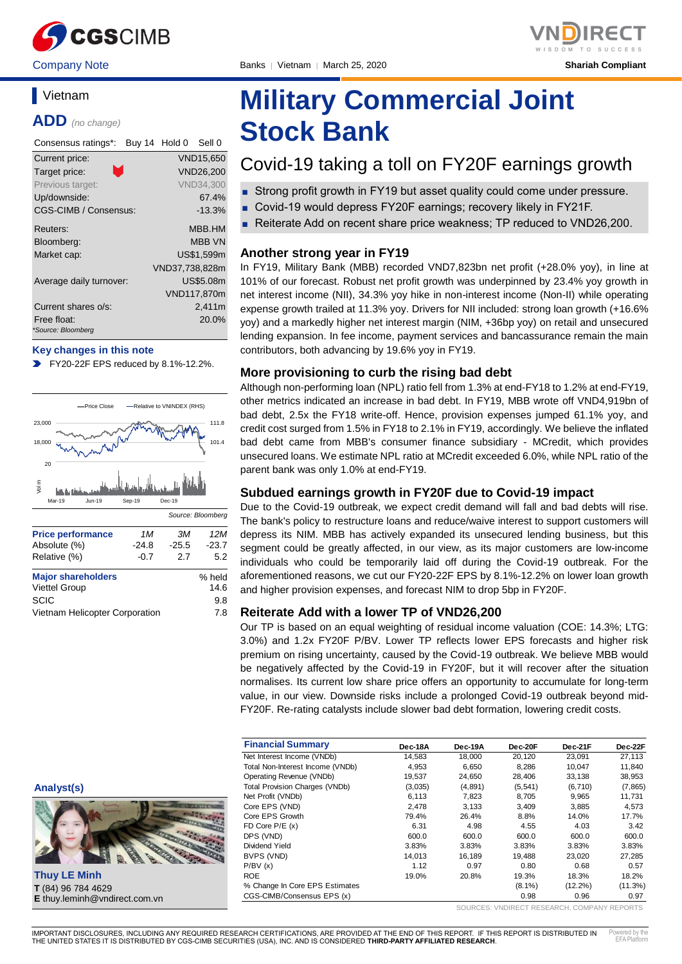

Company Note Banks │ Vietnam │ March 25, 2020 **Shariah Compliant**

# **Vietnam**

**ADD** *(no change)*

| Consensus ratings*:               | Buy 14 Hold 0<br>Sell 0 |
|-----------------------------------|-------------------------|
| Current price:                    | <b>VND15.650</b>        |
| n.<br>Target price:               | <b>VND26.200</b>        |
| Previous target:                  | <b>VND34,300</b>        |
| Up/downside:                      | 67.4%                   |
| CGS-CIMB / Consensus:             | $-13.3%$                |
| Reuters:                          | <b>MBB.HM</b>           |
| Bloomberg:                        | <b>MBB VN</b>           |
| Market cap:                       | US\$1,599m              |
|                                   | VND37,738,828m          |
| Average daily turnover:           | US\$5.08m               |
|                                   | VND117,870m             |
| Current shares o/s:               | 2,411m                  |
| Free float:<br>*Source: Bloomberg | 20.0%                   |

#### **Key changes in this note**

**FY20-22F EPS reduced by 8.1%-12.2%.** 



Vietnam Helicopter Corporation 7.8

# **Analyst(s)**



**Thuy LE Minh T** (84) 96 784 4629 **E** thuy.leminh@vndirect.com.vn

# **Military Commercial Joint Stock Bank**

# Covid-19 taking a toll on FY20F earnings growth

- Strong profit growth in FY19 but asset quality could come under pressure.
- Covid-19 would depress FY20F earnings; recovery likely in FY21F.
- Reiterate Add on recent share price weakness; TP reduced to VND26,200.

#### **Another strong year in FY19**

In FY19, Military Bank (MBB) recorded VND7,823bn net profit (+28.0% yoy), in line at 101% of our forecast. Robust net profit growth was underpinned by 23.4% yoy growth in net interest income (NII), 34.3% yoy hike in non-interest income (Non-II) while operating expense growth trailed at 11.3% yoy. Drivers for NII included: strong loan growth (+16.6% yoy) and a markedly higher net interest margin (NIM, +36bp yoy) on retail and unsecured lending expansion. In fee income, payment services and bancassurance remain the main contributors, both advancing by 19.6% yoy in FY19.

#### **More provisioning to curb the rising bad debt**

Although non-performing loan (NPL) ratio fell from 1.3% at end-FY18 to 1.2% at end-FY19, other metrics indicated an increase in bad debt. In FY19, MBB wrote off VND4,919bn of bad debt, 2.5x the FY18 write-off. Hence, provision expenses jumped 61.1% yoy, and credit cost surged from 1.5% in FY18 to 2.1% in FY19, accordingly. We believe the inflated bad debt came from MBB's consumer finance subsidiary - MCredit, which provides unsecured loans. We estimate NPL ratio at MCredit exceeded 6.0%, while NPL ratio of the parent bank was only 1.0% at end-FY19.

#### **Subdued earnings growth in FY20F due to Covid-19 impact**

Due to the Covid-19 outbreak, we expect credit demand will fall and bad debts will rise. The bank's policy to restructure loans and reduce/waive interest to support customers will depress its NIM. MBB has actively expanded its unsecured lending business, but this segment could be greatly affected, in our view, as its major customers are low-income individuals who could be temporarily laid off during the Covid-19 outbreak. For the aforementioned reasons, we cut our FY20-22F EPS by 8.1%-12.2% on lower loan growth and higher provision expenses, and forecast NIM to drop 5bp in FY20F.

### **Reiterate Add with a lower TP of VND26,200**

Our TP is based on an equal weighting of residual income valuation (COE: 14.3%; LTG: 3.0%) and 1.2x FY20F P/BV. Lower TP reflects lower EPS forecasts and higher risk premium on rising uncertainty, caused by the Covid-19 outbreak. We believe MBB would be negatively affected by the Covid-19 in FY20F, but it will recover after the situation normalises. Its current low share price offers an opportunity to accumulate for long-term value, in our view. Downside risks include a prolonged Covid-19 outbreak beyond mid-FY20F. Re-rating catalysts include slower bad debt formation, lowering credit costs.

| <b>Financial Summary</b>              | Dec-18A | Dec-19A | Dec-20F   | Dec-21F    | Dec-22F  |
|---------------------------------------|---------|---------|-----------|------------|----------|
| Net Interest Income (VNDb)            | 14.583  | 18.000  | 20.120    | 23.091     | 27,113   |
| Total Non-Interest Income (VNDb)      | 4,953   | 6.650   | 8.286     | 10.047     | 11.840   |
| Operating Revenue (VNDb)              | 19,537  | 24.650  | 28.406    | 33.138     | 38,953   |
| <b>Total Provision Charges (VNDb)</b> | (3,035) | (4,891) | (5, 541)  | (6,710)    | (7, 865) |
| Net Profit (VNDb)                     | 6,113   | 7,823   | 8.705     | 9,965      | 11,731   |
| Core EPS (VND)                        | 2.478   | 3.133   | 3.409     | 3,885      | 4,573    |
| Core EPS Growth                       | 79.4%   | 26.4%   | 8.8%      | 14.0%      | 17.7%    |
| FD Core $P/E(x)$                      | 6.31    | 4.98    | 4.55      | 4.03       | 3.42     |
| DPS (VND)                             | 600.0   | 600.0   | 600.0     | 600.0      | 600.0    |
| Dividend Yield                        | 3.83%   | 3.83%   | 3.83%     | 3.83%      | 3.83%    |
| BVPS (VND)                            | 14.013  | 16.189  | 19.488    | 23.020     | 27,285   |
| P/BV(x)                               | 1.12    | 0.97    | 0.80      | 0.68       | 0.57     |
| <b>ROE</b>                            | 19.0%   | 20.8%   | 19.3%     | 18.3%      | 18.2%    |
| % Change In Core EPS Estimates        |         |         | $(8.1\%)$ | $(12.2\%)$ | (11.3%)  |
| CGS-CIMB/Consensus EPS (x)            |         |         | 0.98      | 0.96       | 0.97     |

SOURCES: VNDIRECT RESEARCH, COMPANY REPORTS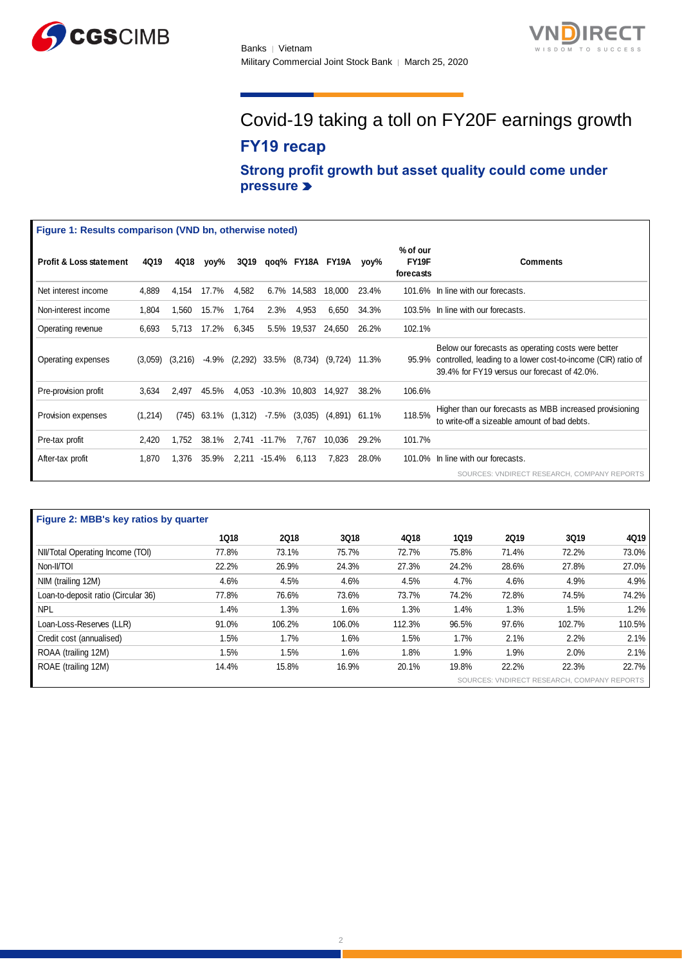



# Covid-19 taking a toll on FY20F earnings growth **FY19 recap**

**Strong profit growth but asset quality could come under pressure** 

| Figure 1: Results comparison (VND bn, otherwise noted) |         |         |       |             |               |             |                  |       |                                |                                                                                                                                                                          |
|--------------------------------------------------------|---------|---------|-------|-------------|---------------|-------------|------------------|-------|--------------------------------|--------------------------------------------------------------------------------------------------------------------------------------------------------------------------|
| <b>Profit &amp; Loss statement</b>                     | 4Q19    | 4Q18    | yoy%  | <b>3Q19</b> |               |             | qoq% FY18A FY19A | yoy%  | % of our<br>FY19F<br>forecasts | <b>Comments</b>                                                                                                                                                          |
| Net interest income                                    | 4,889   | 4,154   | 17.7% | 4,582       | 6.7%          | 14,583      | 18,000           | 23.4% |                                | 101.6% In line with our forecasts.                                                                                                                                       |
| Non-interest income                                    | 1,804   | 1,560   | 15.7% | 1,764       | 2.3%          | 4,953       | 6,650            | 34.3% |                                | 103.5% In line with our forecasts.                                                                                                                                       |
| Operating revenue                                      | 6,693   | 5,713   | 17.2% | 6,345       |               | 5.5% 19,537 | 24,650           | 26.2% | 102.1%                         |                                                                                                                                                                          |
| Operating expenses                                     | (3,059) | (3,216) | -4.9% | (2, 292)    | 33.5%         | (8,734)     | (9,724)          | 11.3% |                                | Below our forecasts as operating costs were better<br>95.9% controlled, leading to a lower cost-to-income (CIR) ratio of<br>39.4% for FY19 versus our forecast of 42.0%. |
| Pre-provision profit                                   | 3,634   | 2,497   | 45.5% | 4,053       | -10.3% 10,803 |             | 14,927           | 38.2% | 106.6%                         |                                                                                                                                                                          |
| Provision expenses                                     | (1,214) | (745)   | 63.1% | (1, 312)    | -7.5%         | (3,035)     | (4,891)          | 61.1% | 118.5%                         | Higher than our forecasts as MBB increased provisioning<br>to write-off a sizeable amount of bad debts.                                                                  |
| Pre-tax profit                                         | 2,420   | 1,752   | 38.1% |             | 2,741 -11.7%  | 7,767       | 10,036           | 29.2% | 101.7%                         |                                                                                                                                                                          |
| After-tax profit                                       | 1,870   | 1,376   | 35.9% | 2,211       | -15.4%        | 6,113       | 7.823            | 28.0% |                                | 101.0% In line with our forecasts.                                                                                                                                       |
|                                                        |         |         |       |             |               |             |                  |       |                                | SOURCES: VNDIRECT RESEARCH, COMPANY REPORTS                                                                                                                              |

| Figure 2: MBB's key ratios by quarter       |             |             |        |        |             |             |        |        |  |  |
|---------------------------------------------|-------------|-------------|--------|--------|-------------|-------------|--------|--------|--|--|
|                                             | <b>1Q18</b> | <b>2Q18</b> | 3Q18   | 4Q18   | <b>1Q19</b> | <b>2Q19</b> | 3Q19   | 4Q19   |  |  |
| NII/Total Operating Income (TOI)            | 77.8%       | 73.1%       | 75.7%  | 72.7%  | 75.8%       | 71.4%       | 72.2%  | 73.0%  |  |  |
| Non-II/TOI                                  | 22.2%       | 26.9%       | 24.3%  | 27.3%  | 24.2%       | 28.6%       | 27.8%  | 27.0%  |  |  |
| NIM (trailing 12M)                          | 4.6%        | 4.5%        | 4.6%   | 4.5%   | 4.7%        | 4.6%        | 4.9%   | 4.9%   |  |  |
| Loan-to-deposit ratio (Circular 36)         | 77.8%       | 76.6%       | 73.6%  | 73.7%  | 74.2%       | 72.8%       | 74.5%  | 74.2%  |  |  |
| <b>NPL</b>                                  | 1.4%        | 1.3%        | 1.6%   | 1.3%   | 1.4%        | 1.3%        | 1.5%   | 1.2%   |  |  |
| Loan-Loss-Reserves (LLR)                    | 91.0%       | 106.2%      | 106.0% | 112.3% | 96.5%       | 97.6%       | 102.7% | 110.5% |  |  |
| Credit cost (annualised)                    | 1.5%        | 1.7%        | 1.6%   | 1.5%   | 1.7%        | 2.1%        | 2.2%   | 2.1%   |  |  |
| ROAA (trailing 12M)                         | 1.5%        | 1.5%        | 1.6%   | 1.8%   | 1.9%        | 1.9%        | 2.0%   | 2.1%   |  |  |
| ROAE (trailing 12M)                         | 14.4%       | 15.8%       | 16.9%  | 20.1%  | 19.8%       | 22.2%       | 22.3%  | 22.7%  |  |  |
| SOURCES: VNDIRECT RESEARCH, COMPANY REPORTS |             |             |        |        |             |             |        |        |  |  |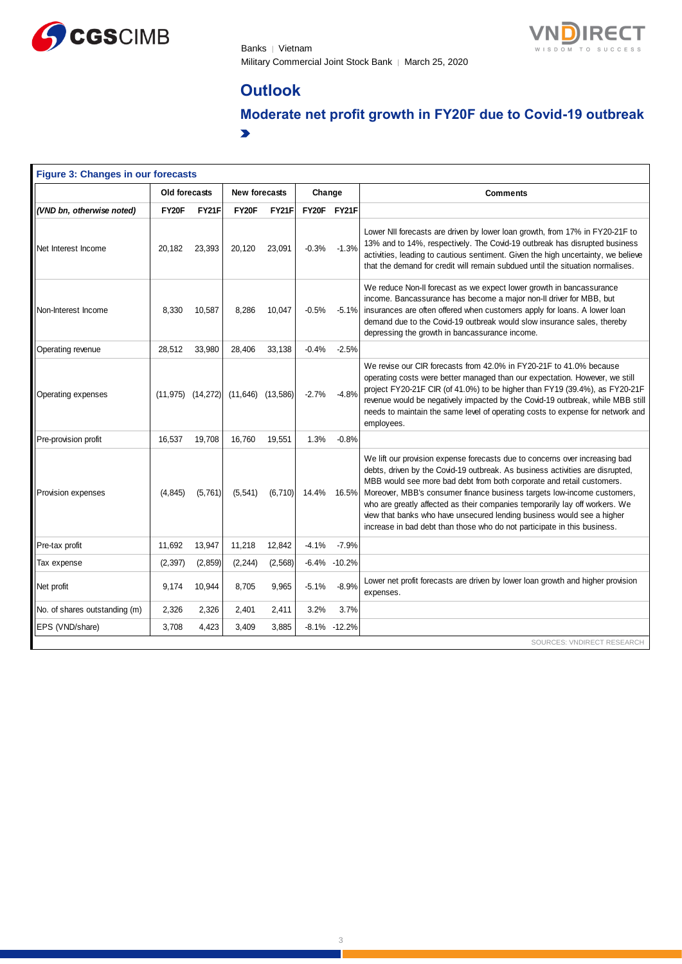

Banks | Vietnam Military Commercial Joint Stock Bank │ March 25, 2020



# **Outlook**

**Moderate net profit growth in FY20F due to Covid-19 outbreak**  $\blacktriangleright$ 

| Figure 3: Changes in our forecasts |               |                       |                      |                       |         |                  |                                                                                                                                                                                                                                                                                                                                                                                                                                                                                                                                                       |  |  |  |
|------------------------------------|---------------|-----------------------|----------------------|-----------------------|---------|------------------|-------------------------------------------------------------------------------------------------------------------------------------------------------------------------------------------------------------------------------------------------------------------------------------------------------------------------------------------------------------------------------------------------------------------------------------------------------------------------------------------------------------------------------------------------------|--|--|--|
|                                    | Old forecasts |                       | <b>New forecasts</b> |                       | Change  |                  | <b>Comments</b>                                                                                                                                                                                                                                                                                                                                                                                                                                                                                                                                       |  |  |  |
| (VND bn, otherwise noted)          | FY20F         | FY21F                 | FY20F                | <b>FY21F</b>          |         | FY20F FY21F      |                                                                                                                                                                                                                                                                                                                                                                                                                                                                                                                                                       |  |  |  |
| Net Interest Income                | 20,182        | 23,393                | 20,120               | 23,091                | $-0.3%$ | $-1.3%$          | Lower NII forecasts are driven by lower loan growth, from 17% in FY20-21F to<br>13% and to 14%, respectively. The Covid-19 outbreak has disrupted business<br>activities, leading to cautious sentiment. Given the high uncertainty, we believe<br>that the demand for credit will remain subdued until the situation normalises.                                                                                                                                                                                                                     |  |  |  |
| Non-Interest Income                | 8,330         | 10,587                | 8,286                | 10,047                | $-0.5%$ | $-5.1%$          | We reduce Non-II forecast as we expect lower growth in bancassurance<br>income. Bancassurance has become a major non-II driver for MBB, but<br>insurances are often offered when customers apply for loans. A lower loan<br>demand due to the Covid-19 outbreak would slow insurance sales, thereby<br>depressing the growth in bancassurance income.                                                                                                                                                                                                 |  |  |  |
| Operating revenue                  | 28,512        | 33,980                | 28,406               | 33,138                | $-0.4%$ | $-2.5%$          |                                                                                                                                                                                                                                                                                                                                                                                                                                                                                                                                                       |  |  |  |
| Operating expenses                 |               | $(11,975)$ $(14,272)$ |                      | $(11,646)$ $(13,586)$ | $-2.7%$ | $-4.8%$          | We revise our CIR forecasts from 42.0% in FY20-21F to 41.0% because<br>operating costs were better managed than our expectation. However, we still<br>project FY20-21F CIR (of 41.0%) to be higher than FY19 (39.4%), as FY20-21F<br>revenue would be negatively impacted by the Covid-19 outbreak, while MBB still<br>needs to maintain the same level of operating costs to expense for network and<br>employees.                                                                                                                                   |  |  |  |
| Pre-provision profit               | 16,537        | 19,708                | 16,760               | 19,551                | 1.3%    | $-0.8%$          |                                                                                                                                                                                                                                                                                                                                                                                                                                                                                                                                                       |  |  |  |
| Provision expenses                 | (4, 845)      | (5,761)               | (5, 541)             | (6, 710)              | 14.4%   | 16.5%            | We lift our provision expense forecasts due to concerns over increasing bad<br>debts, driven by the Covid-19 outbreak. As business activities are disrupted,<br>MBB would see more bad debt from both corporate and retail customers.<br>Moreover, MBB's consumer finance business targets low-income customers,<br>who are greatly affected as their companies temporarily lay off workers. We<br>view that banks who have unsecured lending business would see a higher<br>increase in bad debt than those who do not participate in this business. |  |  |  |
| Pre-tax profit                     | 11.692        | 13,947                | 11,218               | 12,842                | $-4.1%$ | $-7.9%$          |                                                                                                                                                                                                                                                                                                                                                                                                                                                                                                                                                       |  |  |  |
| Tax expense                        | (2, 397)      | (2, 859)              | (2, 244)             | (2, 568)              |         | $-6.4\% -10.2\%$ |                                                                                                                                                                                                                                                                                                                                                                                                                                                                                                                                                       |  |  |  |
| Net profit                         | 9,174         | 10,944                | 8,705                | 9,965                 | $-5.1%$ | $-8.9%$          | Lower net profit forecasts are driven by lower loan growth and higher provision<br>expenses.                                                                                                                                                                                                                                                                                                                                                                                                                                                          |  |  |  |
| No. of shares outstanding (m)      | 2,326         | 2,326                 | 2,401                | 2,411                 | 3.2%    | 3.7%             |                                                                                                                                                                                                                                                                                                                                                                                                                                                                                                                                                       |  |  |  |
| EPS (VND/share)                    | 3,708         | 4,423                 | 3,409                | 3,885                 |         | $-8.1\% -12.2\%$ |                                                                                                                                                                                                                                                                                                                                                                                                                                                                                                                                                       |  |  |  |
|                                    |               |                       |                      |                       |         |                  | SOURCES: VNDIRECT RESEARCH                                                                                                                                                                                                                                                                                                                                                                                                                                                                                                                            |  |  |  |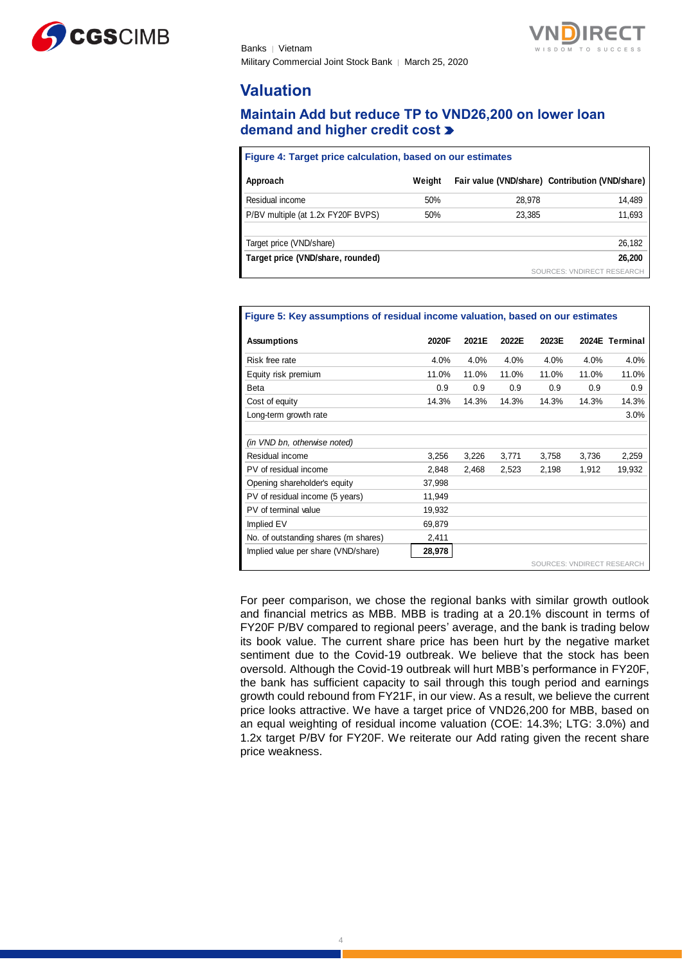



# **Valuation**

# **Maintain Add but reduce TP to VND26,200 on lower loan demand and higher credit cost**

| Figure 4: Target price calculation, based on our estimates |        |        |                                                 |  |  |  |  |  |  |
|------------------------------------------------------------|--------|--------|-------------------------------------------------|--|--|--|--|--|--|
| Approach                                                   | Weight |        | Fair value (VND/share) Contribution (VND/share) |  |  |  |  |  |  |
| Residual income                                            | 50%    | 28,978 | 14,489                                          |  |  |  |  |  |  |
| P/BV multiple (at 1.2x FY20F BVPS)                         | 50%    | 23.385 | 11,693                                          |  |  |  |  |  |  |
| Target price (VND/share)                                   |        |        | 26,182                                          |  |  |  |  |  |  |
| Target price (VND/share, rounded)                          |        |        | 26,200                                          |  |  |  |  |  |  |
|                                                            |        |        | SOURCES: VNDIRECT RESEARCH                      |  |  |  |  |  |  |

| Figure 5. Rev assumptions of residual income valuation, based on our estimates |        |       |       |       |       |                            |  |  |  |
|--------------------------------------------------------------------------------|--------|-------|-------|-------|-------|----------------------------|--|--|--|
| <b>Assumptions</b>                                                             | 2020F  | 2021E | 2022E | 2023E |       | 2024E Terminal             |  |  |  |
| Risk free rate                                                                 | 4.0%   | 4.0%  | 4.0%  | 4.0%  | 4.0%  | 4.0%                       |  |  |  |
| Equity risk premium                                                            | 11.0%  | 11.0% | 11.0% | 11.0% | 11.0% | 11.0%                      |  |  |  |
| <b>Beta</b>                                                                    | 0.9    | 0.9   | 0.9   | 0.9   | 0.9   | 0.9                        |  |  |  |
| Cost of equity                                                                 | 14.3%  | 14.3% | 14.3% | 14.3% | 14.3% | 14.3%                      |  |  |  |
| Long-term growth rate                                                          |        |       |       |       |       | 3.0%                       |  |  |  |
| (in VND bn, otherwise noted)                                                   |        |       |       |       |       |                            |  |  |  |
| Residual income                                                                | 3,256  | 3,226 | 3,771 | 3,758 | 3,736 | 2,259                      |  |  |  |
| PV of residual income                                                          | 2,848  | 2,468 | 2,523 | 2,198 | 1,912 | 19,932                     |  |  |  |
| Opening shareholder's equity                                                   | 37,998 |       |       |       |       |                            |  |  |  |
| PV of residual income (5 years)                                                | 11,949 |       |       |       |       |                            |  |  |  |
| PV of terminal value                                                           | 19,932 |       |       |       |       |                            |  |  |  |
| Implied EV                                                                     | 69,879 |       |       |       |       |                            |  |  |  |
| No. of outstanding shares (m shares)                                           | 2,411  |       |       |       |       |                            |  |  |  |
| Implied value per share (VND/share)                                            | 28,978 |       |       |       |       | SOURCES: VNDIRECT RESEARCH |  |  |  |
|                                                                                |        |       |       |       |       |                            |  |  |  |

For peer comparison, we chose the regional banks with similar growth outlook and financial metrics as MBB. MBB is trading at a 20.1% discount in terms of FY20F P/BV compared to regional peers' average, and the bank is trading below its book value. The current share price has been hurt by the negative market sentiment due to the Covid-19 outbreak. We believe that the stock has been oversold. Although the Covid-19 outbreak will hurt MBB's performance in FY20F, the bank has sufficient capacity to sail through this tough period and earnings growth could rebound from FY21F, in our view. As a result, we believe the current price looks attractive. We have a target price of VND26,200 for MBB, based on an equal weighting of residual income valuation (COE: 14.3%; LTG: 3.0%) and 1.2x target P/BV for FY20F. We reiterate our Add rating given the recent share price weakness.

# **Figure 5: Key assumptions of residual income valuation, based on our estimates**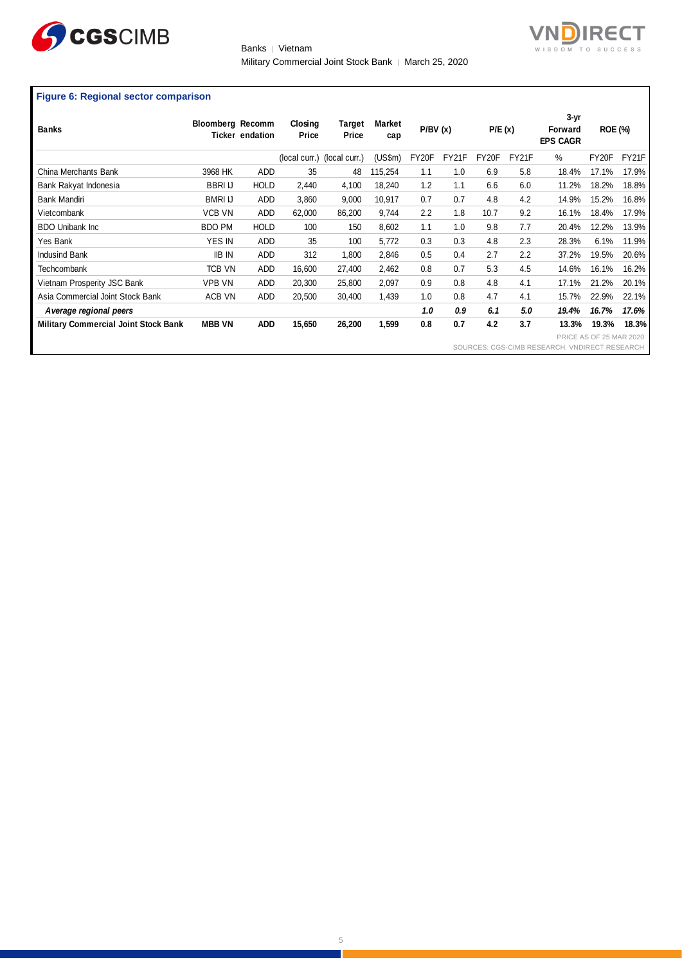

Banks | Vietnam Military Commercial Joint Stock Bank | March 25, 2020 **IRECT** 

# **Figure 6: Regional sector comparison**

| <b>Banks</b>                                | <b>Bloomberg Recomm</b> | Ticker endation | Closing<br>Price            | Target<br>Price | Market<br>cap | P/BV(x) |                                               | P/E(x) |       | $3 - yr$<br>Forward<br><b>EPS CAGR</b> | <b>ROE (%)</b>                 |       |
|---------------------------------------------|-------------------------|-----------------|-----------------------------|-----------------|---------------|---------|-----------------------------------------------|--------|-------|----------------------------------------|--------------------------------|-------|
|                                             |                         |                 | (local curr.) (local curr.) |                 | (US\$m)       | FY20F   | FY21F                                         | FY20F  | FY21F | %                                      | FY20F                          | FY21F |
| China Merchants Bank                        | 3968 HK                 | <b>ADD</b>      | 35                          | 48              | 115,254       | 1.1     | 1.0                                           | 6.9    | 5.8   | 18.4%                                  | 17.1%                          | 17.9% |
| Bank Rakyat Indonesia                       | <b>BBRI IJ</b>          | <b>HOLD</b>     | 2,440                       | 4,100           | 18,240        | 1.2     | 1.1                                           | 6.6    | 6.0   | 11.2%                                  | 18.2%                          | 18.8% |
| Bank Mandiri                                | <b>BMRI IJ</b>          | ADD             | 3,860                       | 9,000           | 10,917        | 0.7     | 0.7                                           | 4.8    | 4.2   | 14.9%                                  | 15.2%                          | 16.8% |
| Vietcombank                                 | <b>VCB VN</b>           | ADD             | 62,000                      | 86,200          | 9,744         | 2.2     | 1.8                                           | 10.7   | 9.2   | 16.1%                                  | 18.4%                          | 17.9% |
| <b>BDO Unibank Inc</b>                      | <b>BDO PM</b>           | <b>HOLD</b>     | 100                         | 150             | 8,602         | 1.1     | 1.0                                           | 9.8    | 7.7   | 20.4%                                  | 12.2%                          | 13.9% |
| Yes Bank                                    | <b>YES IN</b>           | ADD             | 35                          | 100             | 5,772         | 0.3     | 0.3                                           | 4.8    | 2.3   | 28.3%                                  | 6.1%                           | 11.9% |
| <b>Indusind Bank</b>                        | <b>IIB IN</b>           | ADD             | 312                         | 1,800           | 2,846         | 0.5     | 0.4                                           | 2.7    | 2.2   | 37.2%                                  | 19.5%                          | 20.6% |
| <b>Techcombank</b>                          | <b>TCB VN</b>           | ADD             | 16,600                      | 27,400          | 2,462         | 0.8     | 0.7                                           | 5.3    | 4.5   | 14.6%                                  | 16.1%                          | 16.2% |
| Vietnam Prosperity JSC Bank                 | <b>VPB VN</b>           | ADD             | 20,300                      | 25,800          | 2,097         | 0.9     | 0.8                                           | 4.8    | 4.1   | 17.1%                                  | 21.2%                          | 20.1% |
| Asia Commercial Joint Stock Bank            | ACB VN                  | ADD             | 20,500                      | 30.400          | 1,439         | 1.0     | 0.8                                           | 4.7    | 4.1   | 15.7%                                  | 22.9%                          | 22.1% |
| A verage regional peers                     |                         |                 |                             |                 |               | 1.0     | 0.9                                           | 6.1    | 5.0   | 19.4%                                  | 16.7%                          | 17.6% |
| <b>Military Commercial Joint Stock Bank</b> | <b>MBB VN</b>           | <b>ADD</b>      | 15,650                      | 26,200          | 1,599         | 0.8     | 0.7                                           | 4.2    | 3.7   | 13.3%                                  | 19.3%                          | 18.3% |
|                                             |                         |                 |                             |                 |               |         |                                               |        |       |                                        | <b>PRICE AS OF 25 MAR 2020</b> |       |
|                                             |                         |                 |                             |                 |               |         | SOURCES: CGS-CIMB RESEARCH, VNDIRECT RESEARCH |        |       |                                        |                                |       |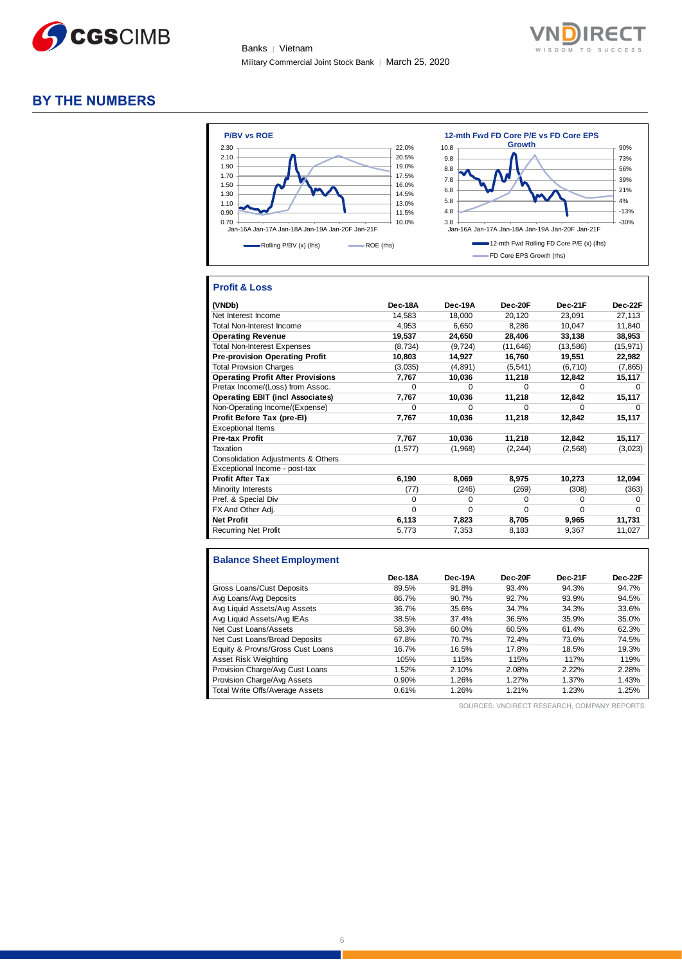



## **BY THE NUMBERS**



## **Profit & Loss**

| (VNDb)                                   | Dec-18A  | Dec-19A  | Dec-20F   | Dec-21F   | Dec-22F      |
|------------------------------------------|----------|----------|-----------|-----------|--------------|
| Net Interest Income                      | 14,583   | 18,000   | 20,120    | 23,091    | 27,113       |
| <b>Total Non-Interest Income</b>         | 4,953    | 6,650    | 8,286     | 10,047    | 11,840       |
| <b>Operating Revenue</b>                 | 19,537   | 24,650   | 28,406    | 33,138    | 38,953       |
| <b>Total Non-Interest Expenses</b>       | (8,734)  | (9, 724) | (11, 646) | (13, 586) | (15, 971)    |
| <b>Pre-provision Operating Profit</b>    | 10,803   | 14,927   | 16,760    | 19,551    | 22,982       |
| <b>Total Provision Charges</b>           | (3,035)  | (4,891)  | (5, 541)  | (6, 710)  | (7, 865)     |
| <b>Operating Profit After Provisions</b> | 7,767    | 10,036   | 11,218    | 12,842    | 15,117       |
| Pretax Income/(Loss) from Assoc.         | $\Omega$ | $\Omega$ | $\Omega$  | $\Omega$  | $\Omega$     |
| <b>Operating EBIT (incl Associates)</b>  | 7,767    | 10,036   | 11,218    | 12,842    | 15,117       |
| Non-Operating Income/(Expense)           | $\Omega$ | 0        | $\Omega$  | $\Omega$  | $\Omega$     |
| Profit Before Tax (pre-El)               | 7,767    | 10,036   | 11,218    | 12,842    | 15,117       |
| <b>Exceptional Items</b>                 |          |          |           |           |              |
| Pre-tax Profit                           | 7,767    | 10,036   | 11,218    | 12,842    | 15,117       |
| Taxation                                 | (1, 577) | (1,968)  | (2, 244)  | (2, 568)  | (3,023)      |
| Consolidation Adjustments & Others       |          |          |           |           |              |
| Exceptional Income - post-tax            |          |          |           |           |              |
| <b>Profit After Tax</b>                  | 6,190    | 8,069    | 8,975     | 10,273    | 12,094       |
| Minority Interests                       | (77)     | (246)    | (269)     | (308)     | (363)        |
| Pref. & Special Div                      | 0        | 0        | 0         | 0         | <sup>0</sup> |
| FX And Other Adj.                        | $\Omega$ | $\Omega$ | $\Omega$  | $\Omega$  | $\Omega$     |
| <b>Net Profit</b>                        | 6,113    | 7,823    | 8,705     | 9,965     | 11,731       |
| <b>Recurring Net Profit</b>              | 5,773    | 7,353    | 8,183     | 9,367     | 11,027       |

### **Balance Sheet Employment**

|                                  | Dec-18A | Dec-19A | Dec-20F | Dec-21F | Dec-22F |
|----------------------------------|---------|---------|---------|---------|---------|
| Gross Loans/Cust Deposits        | 89.5%   | 91.8%   | 93.4%   | 94.3%   | 94.7%   |
| Avg Loans/Avg Deposits           | 86.7%   | 90.7%   | 92.7%   | 93.9%   | 94.5%   |
| Avg Liquid Assets/Avg Assets     | 36.7%   | 35.6%   | 34.7%   | 34.3%   | 33.6%   |
| Avg Liquid Assets/Avg IEAs       | 38.5%   | 37.4%   | 36.5%   | 35.9%   | 35.0%   |
| Net Cust Loans/Assets            | 58.3%   | 60.0%   | 60.5%   | 61.4%   | 62.3%   |
| Net Cust Loans/Broad Deposits    | 67.8%   | 70.7%   | 72.4%   | 73.6%   | 74.5%   |
| Equity & Provns/Gross Cust Loans | 16.7%   | 16.5%   | 17.8%   | 18.5%   | 19.3%   |
| Asset Risk Weighting             | 105%    | 115%    | 115%    | 117%    | 119%    |
| Provision Charge/Avg Cust Loans  | 1.52%   | 2.10%   | 2.08%   | 2.22%   | 2.28%   |
| Provision Charge/Avg Assets      | 0.90%   | 1.26%   | 1.27%   | 1.37%   | 1.43%   |
| Total Write Offs/Average Assets  | 0.61%   | 1.26%   | 1.21%   | 1.23%   | 1.25%   |

SOURCES: VNDIRECT RESEARCH, COMPANY REPORTS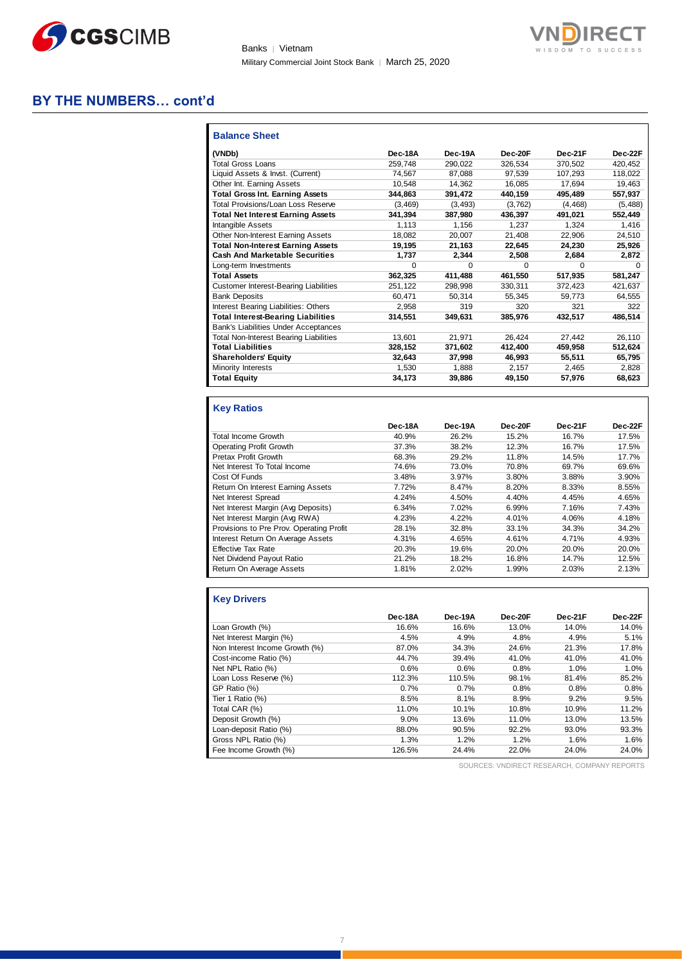

Banks | Vietnam Military Commercial Joint Stock Bank | March 25, 2020



# **BY THE NUMBERS… cont'd**

| <b>Balance Sheet</b>                          |          |          |         |              |          |
|-----------------------------------------------|----------|----------|---------|--------------|----------|
| (VNDb)                                        | Dec-18A  | Dec-19A  | Dec-20F | Dec-21F      | Dec-22F  |
| <b>Total Gross Loans</b>                      | 259.748  | 290.022  | 326.534 | 370.502      | 420.452  |
| Liquid Assets & Invst. (Current)              | 74.567   | 87.088   | 97.539  | 107.293      | 118.022  |
| Other Int. Earning Assets                     | 10.548   | 14,362   | 16,085  | 17.694       | 19,463   |
| <b>Total Gross Int. Earning Assets</b>        | 344,863  | 391,472  | 440,159 | 495,489      | 557,937  |
| <b>Total Provisions/Loan Loss Reserve</b>     | (3.469)  | (3, 493) | (3,762) | (4, 468)     | (5, 488) |
| <b>Total Net Interest Earning Assets</b>      | 341.394  | 387,980  | 436,397 | 491,021      | 552,449  |
| Intangible Assets                             | 1.113    | 1.156    | 1.237   | 1.324        | 1.416    |
| Other Non-Interest Earning Assets             | 18,082   | 20,007   | 21,408  | 22,906       | 24,510   |
| <b>Total Non-Interest Earning Assets</b>      | 19.195   | 21,163   | 22.645  | 24.230       | 25,926   |
| <b>Cash And Marketable Securities</b>         | 1,737    | 2.344    | 2.508   | 2.684        | 2,872    |
| Long-term Investments                         | $\Omega$ | 0        | 0       | <sup>0</sup> | $\Omega$ |
| <b>Total Assets</b>                           | 362,325  | 411,488  | 461.550 | 517,935      | 581,247  |
| <b>Customer Interest-Bearing Liabilities</b>  | 251.122  | 298,998  | 330,311 | 372.423      | 421.637  |
| <b>Bank Deposits</b>                          | 60.471   | 50.314   | 55.345  | 59.773       | 64.555   |
| Interest Bearing Liabilities: Others          | 2,958    | 319      | 320     | 321          | 322      |
| <b>Total Interest-Bearing Liabilities</b>     | 314.551  | 349.631  | 385.976 | 432.517      | 486.514  |
| Bank's Liabilities Under Acceptances          |          |          |         |              |          |
| <b>Total Non-Interest Bearing Liabilities</b> | 13.601   | 21,971   | 26.424  | 27.442       | 26,110   |
| <b>Total Liabilities</b>                      | 328,152  | 371,602  | 412,400 | 459,958      | 512,624  |
| <b>Shareholders' Equity</b>                   | 32.643   | 37,998   | 46.993  | 55.511       | 65,795   |
| Minority Interests                            | 1,530    | 1,888    | 2,157   | 2,465        | 2,828    |
| <b>Total Equity</b>                           | 34,173   | 39,886   | 49,150  | 57,976       | 68,623   |

# **Key Ratios**

|                                          | Dec-18A | Dec-19A | Dec-20F | Dec-21F | Dec-22F |
|------------------------------------------|---------|---------|---------|---------|---------|
| <b>Total Income Growth</b>               | 40.9%   | 26.2%   | 15.2%   | 16.7%   | 17.5%   |
| Operating Profit Growth                  | 37.3%   | 38.2%   | 12.3%   | 16.7%   | 17.5%   |
| Pretax Profit Growth                     | 68.3%   | 29.2%   | 11.8%   | 14.5%   | 17.7%   |
| Net Interest To Total Income             | 74.6%   | 73.0%   | 70.8%   | 69.7%   | 69.6%   |
| Cost Of Funds                            | 3.48%   | 3.97%   | 3.80%   | 3.88%   | 3.90%   |
| Return On Interest Earning Assets        | 7.72%   | 8.47%   | 8.20%   | 8.33%   | 8.55%   |
| Net Interest Spread                      | 4.24%   | 4.50%   | 4.40%   | 4.45%   | 4.65%   |
| Net Interest Margin (Avg Deposits)       | 6.34%   | 7.02%   | 6.99%   | 7.16%   | 7.43%   |
| Net Interest Margin (Avg RWA)            | 4.23%   | 4.22%   | 4.01%   | 4.06%   | 4.18%   |
| Provisions to Pre Prov. Operating Profit | 28.1%   | 32.8%   | 33.1%   | 34.3%   | 34.2%   |
| Interest Return On Average Assets        | 4.31%   | 4.65%   | 4.61%   | 4.71%   | 4.93%   |
| <b>Effective Tax Rate</b>                | 20.3%   | 19.6%   | 20.0%   | 20.0%   | 20.0%   |
| Net Dividend Payout Ratio                | 21.2%   | 18.2%   | 16.8%   | 14.7%   | 12.5%   |
| Return On Average Assets                 | 1.81%   | 2.02%   | 1.99%   | 2.03%   | 2.13%   |

## **Key Drivers**

|                                | Dec-18A | Dec-19A | Dec-20F | Dec-21F | Dec-22F |
|--------------------------------|---------|---------|---------|---------|---------|
| Loan Growth (%)                | 16.6%   | 16.6%   | 13.0%   | 14.0%   | 14.0%   |
| Net Interest Margin (%)        | 4.5%    | 4.9%    | 4.8%    | 4.9%    | 5.1%    |
| Non Interest Income Growth (%) | 87.0%   | 34.3%   | 24.6%   | 21.3%   | 17.8%   |
| Cost-income Ratio (%)          | 44.7%   | 39.4%   | 41.0%   | 41.0%   | 41.0%   |
| Net NPL Ratio (%)              | 0.6%    | 0.6%    | 0.8%    | 1.0%    | 1.0%    |
| Loan Loss Reserve (%)          | 112.3%  | 110.5%  | 98.1%   | 81.4%   | 85.2%   |
| GP Ratio (%)                   | 0.7%    | 0.7%    | 0.8%    | 0.8%    | 0.8%    |
| Tier 1 Ratio (%)               | 8.5%    | 8.1%    | 8.9%    | 9.2%    | 9.5%    |
| Total CAR (%)                  | 11.0%   | 10.1%   | 10.8%   | 10.9%   | 11.2%   |
| Deposit Growth (%)             | 9.0%    | 13.6%   | 11.0%   | 13.0%   | 13.5%   |
| Loan-deposit Ratio (%)         | 88.0%   | 90.5%   | 92.2%   | 93.0%   | 93.3%   |
| Gross NPL Ratio (%)            | 1.3%    | 1.2%    | 1.2%    | 1.6%    | 1.6%    |
| Fee Income Growth (%)          | 126.5%  | 24.4%   | 22.0%   | 24.0%   | 24.0%   |

SOURCES: VNDIRECT RESEARCH, COMPANY REPORTS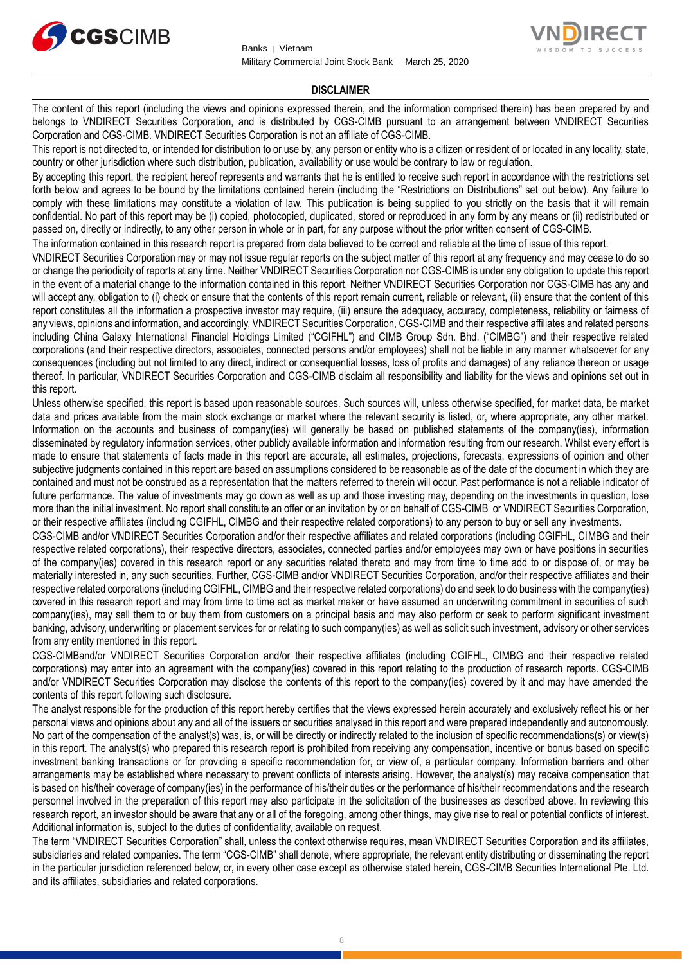



#### **DISCLAIMER**

The content of this report (including the views and opinions expressed therein, and the information comprised therein) has been prepared by and belongs to VNDIRECT Securities Corporation, and is distributed by CGS-CIMB pursuant to an arrangement between VNDIRECT Securities Corporation and CGS-CIMB. VNDIRECT Securities Corporation is not an affiliate of CGS-CIMB.

This report is not directed to, or intended for distribution to or use by, any person or entity who is a citizen or resident of or located in any locality, state, country or other jurisdiction where such distribution, publication, availability or use would be contrary to law or regulation.

By accepting this report, the recipient hereof represents and warrants that he is entitled to receive such report in accordance with the restrictions set forth below and agrees to be bound by the limitations contained herein (including the "Restrictions on Distributions" set out below). Any failure to comply with these limitations may constitute a violation of law. This publication is being supplied to you strictly on the basis that it will remain confidential. No part of this report may be (i) copied, photocopied, duplicated, stored or reproduced in any form by any means or (ii) redistributed or passed on, directly or indirectly, to any other person in whole or in part, for any purpose without the prior written consent of CGS-CIMB.

The information contained in this research report is prepared from data believed to be correct and reliable at the time of issue of this report.

VNDIRECT Securities Corporation may or may not issue regular reports on the subject matter of this report at any frequency and may cease to do so or change the periodicity of reports at any time. Neither VNDIRECT Securities Corporation nor CGS-CIMB is under any obligation to update this report in the event of a material change to the information contained in this report. Neither VNDIRECT Securities Corporation nor CGS-CIMB has any and will accept any, obligation to (i) check or ensure that the contents of this report remain current, reliable or relevant, (ii) ensure that the content of this report constitutes all the information a prospective investor may require, (iii) ensure the adequacy, accuracy, completeness, reliability or fairness of any views, opinions and information, and accordingly, VNDIRECT Securities Corporation, CGS-CIMB and their respective affiliates and related persons including China Galaxy International Financial Holdings Limited ("CGIFHL") and CIMB Group Sdn. Bhd. ("CIMBG") and their respective related corporations (and their respective directors, associates, connected persons and/or employees) shall not be liable in any manner whatsoever for any consequences (including but not limited to any direct, indirect or consequential losses, loss of profits and damages) of any reliance thereon or usage thereof. In particular, VNDIRECT Securities Corporation and CGS-CIMB disclaim all responsibility and liability for the views and opinions set out in this report.

Unless otherwise specified, this report is based upon reasonable sources. Such sources will, unless otherwise specified, for market data, be market data and prices available from the main stock exchange or market where the relevant security is listed, or, where appropriate, any other market. Information on the accounts and business of company(ies) will generally be based on published statements of the company(ies), information disseminated by regulatory information services, other publicly available information and information resulting from our research. Whilst every effort is made to ensure that statements of facts made in this report are accurate, all estimates, projections, forecasts, expressions of opinion and other subjective judgments contained in this report are based on assumptions considered to be reasonable as of the date of the document in which they are contained and must not be construed as a representation that the matters referred to therein will occur. Past performance is not a reliable indicator of future performance. The value of investments may go down as well as up and those investing may, depending on the investments in question, lose more than the initial investment. No report shall constitute an offer or an invitation by or on behalf of CGS-CIMB or VNDIRECT Securities Corporation, or their respective affiliates (including CGIFHL, CIMBG and their respective related corporations) to any person to buy or sell any investments.

CGS-CIMB and/or VNDIRECT Securities Corporation and/or their respective affiliates and related corporations (including CGIFHL, CIMBG and their respective related corporations), their respective directors, associates, connected parties and/or employees may own or have positions in securities of the company(ies) covered in this research report or any securities related thereto and may from time to time add to or dispose of, or may be materially interested in, any such securities. Further, CGS-CIMB and/or VNDIRECT Securities Corporation, and/or their respective affiliates and their respective related corporations (including CGIFHL, CIMBG and their respective related corporations) do and seek to do business with the company(ies) covered in this research report and may from time to time act as market maker or have assumed an underwriting commitment in securities of such company(ies), may sell them to or buy them from customers on a principal basis and may also perform or seek to perform significant investment banking, advisory, underwriting or placement services for or relating to such company(ies) as well as solicit such investment, advisory or other services from any entity mentioned in this report.

CGS-CIMBand/or VNDIRECT Securities Corporation and/or their respective affiliates (including CGIFHL, CIMBG and their respective related corporations) may enter into an agreement with the company(ies) covered in this report relating to the production of research reports. CGS-CIMB and/or VNDIRECT Securities Corporation may disclose the contents of this report to the company(ies) covered by it and may have amended the contents of this report following such disclosure.

The analyst responsible for the production of this report hereby certifies that the views expressed herein accurately and exclusively reflect his or her personal views and opinions about any and all of the issuers or securities analysed in this report and were prepared independently and autonomously. No part of the compensation of the analyst(s) was, is, or will be directly or indirectly related to the inclusion of specific recommendations(s) or view(s) in this report. The analyst(s) who prepared this research report is prohibited from receiving any compensation, incentive or bonus based on specific investment banking transactions or for providing a specific recommendation for, or view of, a particular company. Information barriers and other arrangements may be established where necessary to prevent conflicts of interests arising. However, the analyst(s) may receive compensation that is based on his/their coverage of company(ies) in the performance of his/their duties or the performance of his/their recommendations and the research personnel involved in the preparation of this report may also participate in the solicitation of the businesses as described above. In reviewing this research report, an investor should be aware that any or all of the foregoing, among other things, may give rise to real or potential conflicts of interest. Additional information is, subject to the duties of confidentiality, available on request.

The term "VNDIRECT Securities Corporation" shall, unless the context otherwise requires, mean VNDIRECT Securities Corporation and its affiliates, subsidiaries and related companies. The term "CGS-CIMB" shall denote, where appropriate, the relevant entity distributing or disseminating the report in the particular jurisdiction referenced below, or, in every other case except as otherwise stated herein, CGS-CIMB Securities International Pte. Ltd. and its affiliates, subsidiaries and related corporations.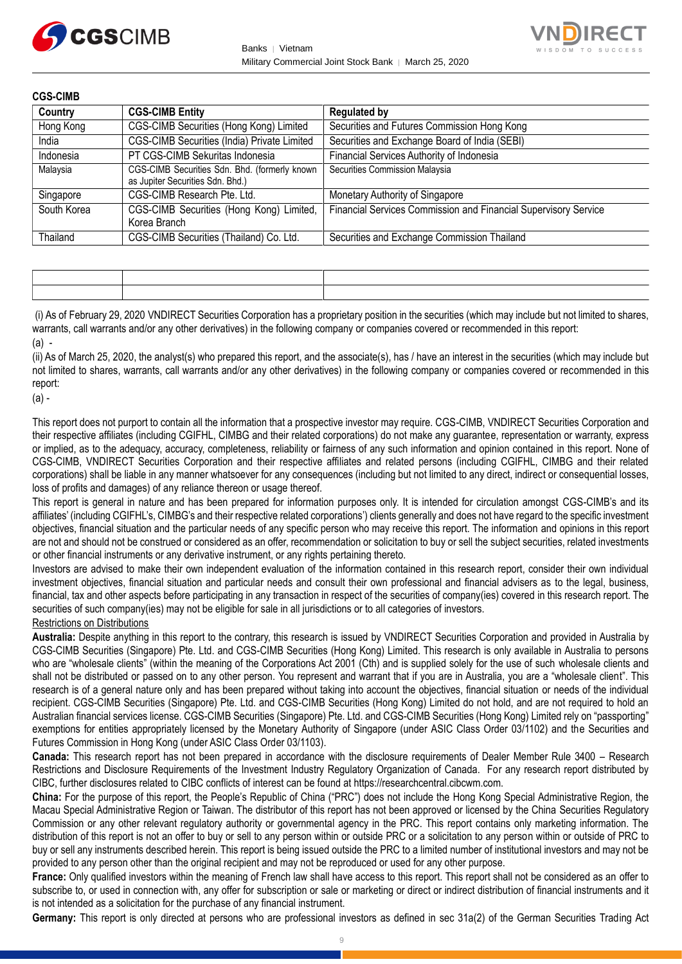



| <b>CGS-CIMB</b> |                                                                                   |                                                                 |
|-----------------|-----------------------------------------------------------------------------------|-----------------------------------------------------------------|
| Country         | <b>CGS-CIMB Entity</b>                                                            | <b>Regulated by</b>                                             |
| Hong Kong       | CGS-CIMB Securities (Hong Kong) Limited                                           | Securities and Futures Commission Hong Kong                     |
| India           | CGS-CIMB Securities (India) Private Limited                                       | Securities and Exchange Board of India (SEBI)                   |
| Indonesia       | PT CGS-CIMB Sekuritas Indonesia                                                   | Financial Services Authority of Indonesia                       |
| Malaysia        | CGS-CIMB Securities Sdn. Bhd. (formerly known<br>as Jupiter Securities Sdn. Bhd.) | Securities Commission Malaysia                                  |
| Singapore       | CGS-CIMB Research Pte. Ltd.                                                       | Monetary Authority of Singapore                                 |
| South Korea     | CGS-CIMB Securities (Hong Kong) Limited,<br>Korea Branch                          | Financial Services Commission and Financial Supervisory Service |
| Thailand        | CGS-CIMB Securities (Thailand) Co. Ltd.                                           | Securities and Exchange Commission Thailand                     |

(i) As of February 29, 2020 VNDIRECT Securities Corporation has a proprietary position in the securities (which may include but not limited to shares, warrants, call warrants and/or any other derivatives) in the following company or companies covered or recommended in this report:  $(a)$  -

(ii) As of March 25, 2020, the analyst(s) who prepared this report, and the associate(s), has / have an interest in the securities (which may include but not limited to shares, warrants, call warrants and/or any other derivatives) in the following company or companies covered or recommended in this report:

(a) -

This report does not purport to contain all the information that a prospective investor may require. CGS-CIMB, VNDIRECT Securities Corporation and their respective affiliates (including CGIFHL, CIMBG and their related corporations) do not make any guarantee, representation or warranty, express or implied, as to the adequacy, accuracy, completeness, reliability or fairness of any such information and opinion contained in this report. None of CGS-CIMB, VNDIRECT Securities Corporation and their respective affiliates and related persons (including CGIFHL, CIMBG and their related corporations) shall be liable in any manner whatsoever for any consequences (including but not limited to any direct, indirect or consequential losses, loss of profits and damages) of any reliance thereon or usage thereof.

This report is general in nature and has been prepared for information purposes only. It is intended for circulation amongst CGS-CIMB's and its affiliates' (including CGIFHL's, CIMBG's and their respective related corporations') clients generally and does not have regard to the specific investment objectives, financial situation and the particular needs of any specific person who may receive this report. The information and opinions in this report are not and should not be construed or considered as an offer, recommendation or solicitation to buy or sell the subject securities, related investments or other financial instruments or any derivative instrument, or any rights pertaining thereto.

Investors are advised to make their own independent evaluation of the information contained in this research report, consider their own individual investment objectives, financial situation and particular needs and consult their own professional and financial advisers as to the legal, business, financial, tax and other aspects before participating in any transaction in respect of the securities of company(ies) covered in this research report. The securities of such company(ies) may not be eligible for sale in all jurisdictions or to all categories of investors.

Restrictions on Distributions

**Australia:** Despite anything in this report to the contrary, this research is issued by VNDIRECT Securities Corporation and provided in Australia by CGS-CIMB Securities (Singapore) Pte. Ltd. and CGS-CIMB Securities (Hong Kong) Limited. This research is only available in Australia to persons who are "wholesale clients" (within the meaning of the Corporations Act 2001 (Cth) and is supplied solely for the use of such wholesale clients and shall not be distributed or passed on to any other person. You represent and warrant that if you are in Australia, you are a "wholesale client". This research is of a general nature only and has been prepared without taking into account the objectives, financial situation or needs of the individual recipient. CGS-CIMB Securities (Singapore) Pte. Ltd. and CGS-CIMB Securities (Hong Kong) Limited do not hold, and are not required to hold an Australian financial services license. CGS-CIMB Securities (Singapore) Pte. Ltd. and CGS-CIMB Securities (Hong Kong) Limited rely on "passporting" exemptions for entities appropriately licensed by the Monetary Authority of Singapore (under ASIC Class Order 03/1102) and the Securities and Futures Commission in Hong Kong (under ASIC Class Order 03/1103).

**Canada:** This research report has not been prepared in accordance with the disclosure requirements of Dealer Member Rule 3400 – Research Restrictions and Disclosure Requirements of the Investment Industry Regulatory Organization of Canada. For any research report distributed by CIBC, further disclosures related to CIBC conflicts of interest can be found at https://researchcentral.cibcwm.com.

**China:** For the purpose of this report, the People's Republic of China ("PRC") does not include the Hong Kong Special Administrative Region, the Macau Special Administrative Region or Taiwan. The distributor of this report has not been approved or licensed by the China Securities Regulatory Commission or any other relevant regulatory authority or governmental agency in the PRC. This report contains only marketing information. The distribution of this report is not an offer to buy or sell to any person within or outside PRC or a solicitation to any person within or outside of PRC to buy or sell any instruments described herein. This report is being issued outside the PRC to a limited number of institutional investors and may not be provided to any person other than the original recipient and may not be reproduced or used for any other purpose.

**France:** Only qualified investors within the meaning of French law shall have access to this report. This report shall not be considered as an offer to subscribe to, or used in connection with, any offer for subscription or sale or marketing or direct or indirect distribution of financial instruments and it is not intended as a solicitation for the purchase of any financial instrument.

**Germany:** This report is only directed at persons who are professional investors as defined in sec 31a(2) of the German Securities Trading Act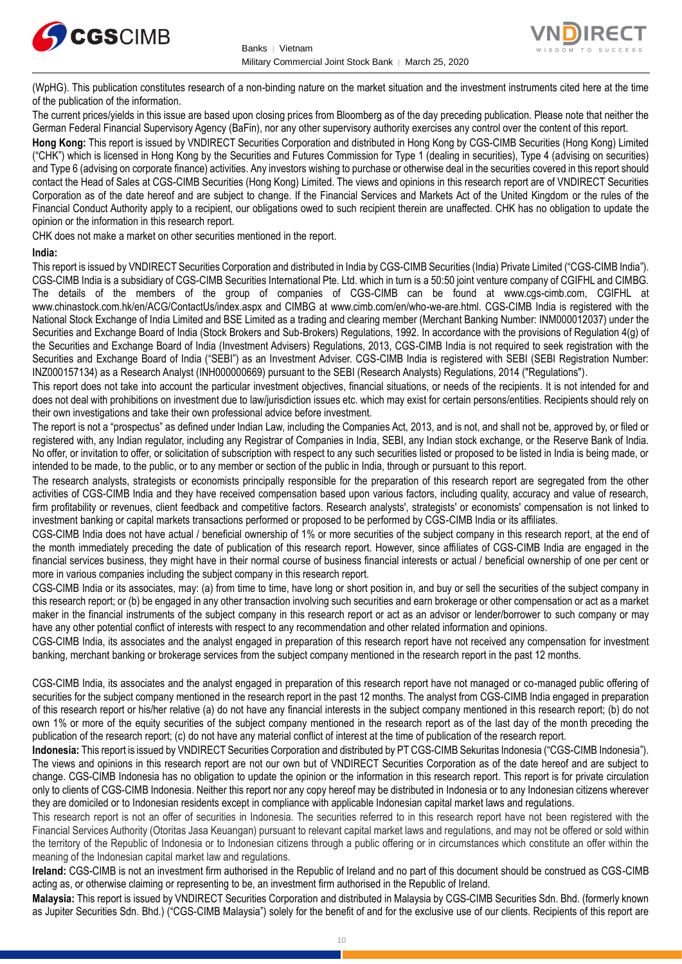



(WpHG). This publication constitutes research of a non-binding nature on the market situation and the investment instruments cited here at the time of the publication of the information.

The current prices/yields in this issue are based upon closing prices from Bloomberg as of the day preceding publication. Please note that neither the German Federal Financial Supervisory Agency (BaFin), nor any other supervisory authority exercises any control over the content of this report.

**Hong Kong:** This report is issued by VNDIRECT Securities Corporation and distributed in Hong Kong by CGS-CIMB Securities (Hong Kong) Limited ("CHK") which is licensed in Hong Kong by the Securities and Futures Commission for Type 1 (dealing in securities), Type 4 (advising on securities) and Type 6 (advising on corporate finance) activities. Any investors wishing to purchase or otherwise deal in the securities covered in this report should contact the Head of Sales at CGS-CIMB Securities (Hong Kong) Limited. The views and opinions in this research report are of VNDIRECT Securities Corporation as of the date hereof and are subject to change. If the Financial Services and Markets Act of the United Kingdom or the rules of the Financial Conduct Authority apply to a recipient, our obligations owed to such recipient therein are unaffected. CHK has no obligation to update the opinion or the information in this research report.

CHK does not make a market on other securities mentioned in the report.

#### **India:**

This report is issued by VNDIRECT Securities Corporation and distributed in India by CGS-CIMB Securities (India) Private Limited ("CGS-CIMB India"). CGS-CIMB India is a subsidiary of CGS-CIMB Securities International Pte. Ltd. which in turn is a 50:50 joint venture company of CGIFHL and CIMBG. The details of the members of the group of companies of CGS-CIMB can be found at www.cgs-cimb.com, CGIFHL at www.chinastock.com.hk/en/ACG/ContactUs/index.aspx and CIMBG at www.cimb.com/en/who-we-are.html. CGS-CIMB India is registered with the National Stock Exchange of India Limited and BSE Limited as a trading and clearing member (Merchant Banking Number: INM000012037) under the Securities and Exchange Board of India (Stock Brokers and Sub-Brokers) Regulations, 1992. In accordance with the provisions of Regulation 4(g) of the Securities and Exchange Board of India (Investment Advisers) Regulations, 2013, CGS-CIMB India is not required to seek registration with the Securities and Exchange Board of India ("SEBI") as an Investment Adviser. CGS-CIMB India is registered with SEBI (SEBI Registration Number: INZ000157134) as a Research Analyst (INH000000669) pursuant to the SEBI (Research Analysts) Regulations, 2014 ("Regulations").

This report does not take into account the particular investment objectives, financial situations, or needs of the recipients. It is not intended for and does not deal with prohibitions on investment due to law/jurisdiction issues etc. which may exist for certain persons/entities. Recipients should rely on their own investigations and take their own professional advice before investment.

The report is not a "prospectus" as defined under Indian Law, including the Companies Act, 2013, and is not, and shall not be, approved by, or filed or registered with, any Indian regulator, including any Registrar of Companies in India, SEBI, any Indian stock exchange, or the Reserve Bank of India. No offer, or invitation to offer, or solicitation of subscription with respect to any such securities listed or proposed to be listed in India is being made, or intended to be made, to the public, or to any member or section of the public in India, through or pursuant to this report.

The research analysts, strategists or economists principally responsible for the preparation of this research report are segregated from the other activities of CGS-CIMB India and they have received compensation based upon various factors, including quality, accuracy and value of research, firm profitability or revenues, client feedback and competitive factors. Research analysts', strategists' or economists' compensation is not linked to investment banking or capital markets transactions performed or proposed to be performed by CGS-CIMB India or its affiliates.

CGS-CIMB India does not have actual / beneficial ownership of 1% or more securities of the subject company in this research report, at the end of the month immediately preceding the date of publication of this research report. However, since affiliates of CGS-CIMB India are engaged in the financial services business, they might have in their normal course of business financial interests or actual / beneficial ownership of one per cent or more in various companies including the subject company in this research report.

CGS-CIMB India or its associates, may: (a) from time to time, have long or short position in, and buy or sell the securities of the subject company in this research report; or (b) be engaged in any other transaction involving such securities and earn brokerage or other compensation or act as a market maker in the financial instruments of the subject company in this research report or act as an advisor or lender/borrower to such company or may have any other potential conflict of interests with respect to any recommendation and other related information and opinions.

CGS-CIMB India, its associates and the analyst engaged in preparation of this research report have not received any compensation for investment banking, merchant banking or brokerage services from the subject company mentioned in the research report in the past 12 months.

CGS-CIMB India, its associates and the analyst engaged in preparation of this research report have not managed or co-managed public offering of securities for the subject company mentioned in the research report in the past 12 months. The analyst from CGS-CIMB India engaged in preparation of this research report or his/her relative (a) do not have any financial interests in the subject company mentioned in this research report; (b) do not own 1% or more of the equity securities of the subject company mentioned in the research report as of the last day of the month preceding the publication of the research report; (c) do not have any material conflict of interest at the time of publication of the research report.

**Indonesia:** This report is issued by VNDIRECT Securities Corporation and distributed by PT CGS-CIMB Sekuritas Indonesia ("CGS-CIMB Indonesia"). The views and opinions in this research report are not our own but of VNDIRECT Securities Corporation as of the date hereof and are subject to change. CGS-CIMB Indonesia has no obligation to update the opinion or the information in this research report. This report is for private circulation only to clients of CGS-CIMB Indonesia. Neither this report nor any copy hereof may be distributed in Indonesia or to any Indonesian citizens wherever they are domiciled or to Indonesian residents except in compliance with applicable Indonesian capital market laws and regulations.

This research report is not an offer of securities in Indonesia. The securities referred to in this research report have not been registered with the Financial Services Authority (Otoritas Jasa Keuangan) pursuant to relevant capital market laws and regulations, and may not be offered or sold within the territory of the Republic of Indonesia or to Indonesian citizens through a public offering or in circumstances which constitute an offer within the meaning of the Indonesian capital market law and regulations.

**Ireland:** CGS-CIMB is not an investment firm authorised in the Republic of Ireland and no part of this document should be construed as CGS-CIMB acting as, or otherwise claiming or representing to be, an investment firm authorised in the Republic of Ireland.

**Malaysia:** This report is issued by VNDIRECT Securities Corporation and distributed in Malaysia by CGS-CIMB Securities Sdn. Bhd. (formerly known as Jupiter Securities Sdn. Bhd.) ("CGS-CIMB Malaysia") solely for the benefit of and for the exclusive use of our clients. Recipients of this report are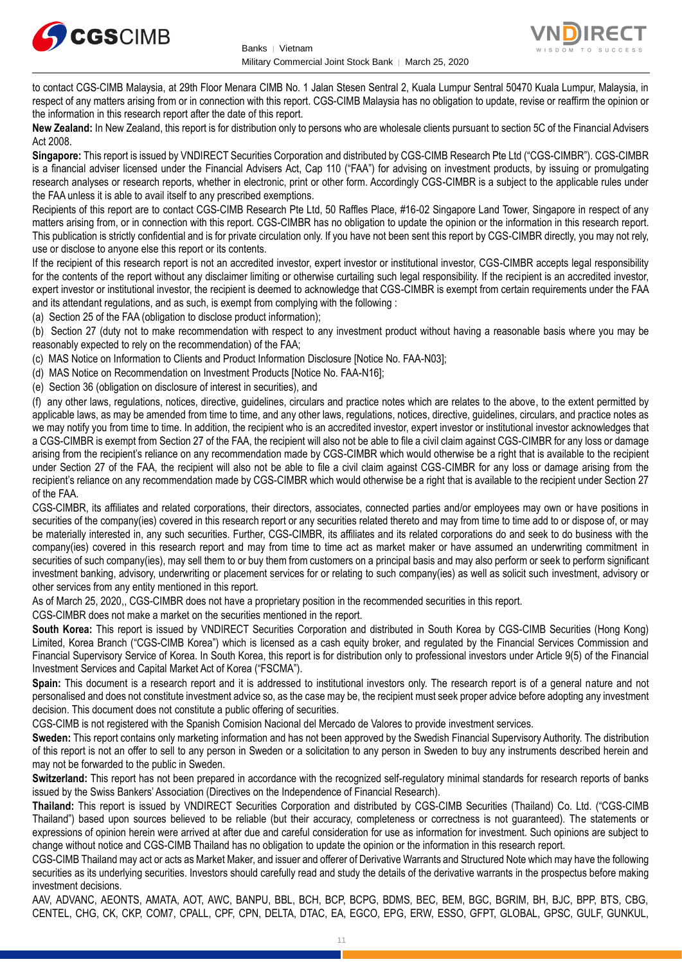



to contact CGS-CIMB Malaysia, at 29th Floor Menara CIMB No. 1 Jalan Stesen Sentral 2, Kuala Lumpur Sentral 50470 Kuala Lumpur, Malaysia, in respect of any matters arising from or in connection with this report. CGS-CIMB Malaysia has no obligation to update, revise or reaffirm the opinion or the information in this research report after the date of this report.

**New Zealand:** In New Zealand, this report is for distribution only to persons who are wholesale clients pursuant to section 5C of the Financial Advisers Act 2008.

**Singapore:** This report is issued by VNDIRECT Securities Corporation and distributed by CGS-CIMB Research Pte Ltd ("CGS-CIMBR"). CGS-CIMBR is a financial adviser licensed under the Financial Advisers Act, Cap 110 ("FAA") for advising on investment products, by issuing or promulgating research analyses or research reports, whether in electronic, print or other form. Accordingly CGS-CIMBR is a subject to the applicable rules under the FAA unless it is able to avail itself to any prescribed exemptions.

Recipients of this report are to contact CGS-CIMB Research Pte Ltd, 50 Raffles Place, #16-02 Singapore Land Tower, Singapore in respect of any matters arising from, or in connection with this report. CGS-CIMBR has no obligation to update the opinion or the information in this research report. This publication is strictly confidential and is for private circulation only. If you have not been sent this report by CGS-CIMBR directly, you may not rely, use or disclose to anyone else this report or its contents.

If the recipient of this research report is not an accredited investor, expert investor or institutional investor, CGS-CIMBR accepts legal responsibility for the contents of the report without any disclaimer limiting or otherwise curtailing such legal responsibility. If the recipient is an accredited investor, expert investor or institutional investor, the recipient is deemed to acknowledge that CGS-CIMBR is exempt from certain requirements under the FAA and its attendant regulations, and as such, is exempt from complying with the following :

(a) Section 25 of the FAA (obligation to disclose product information);

(b) Section 27 (duty not to make recommendation with respect to any investment product without having a reasonable basis where you may be reasonably expected to rely on the recommendation) of the FAA;

(c) MAS Notice on Information to Clients and Product Information Disclosure [Notice No. FAA-N03];

(d) MAS Notice on Recommendation on Investment Products [Notice No. FAA-N16];

(e) Section 36 (obligation on disclosure of interest in securities), and

(f) any other laws, regulations, notices, directive, guidelines, circulars and practice notes which are relates to the above, to the extent permitted by applicable laws, as may be amended from time to time, and any other laws, regulations, notices, directive, guidelines, circulars, and practice notes as we may notify you from time to time. In addition, the recipient who is an accredited investor, expert investor or institutional investor acknowledges that a CGS-CIMBR is exempt from Section 27 of the FAA, the recipient will also not be able to file a civil claim against CGS-CIMBR for any loss or damage arising from the recipient's reliance on any recommendation made by CGS-CIMBR which would otherwise be a right that is available to the recipient under Section 27 of the FAA, the recipient will also not be able to file a civil claim against CGS-CIMBR for any loss or damage arising from the recipient's reliance on any recommendation made by CGS-CIMBR which would otherwise be a right that is available to the recipient under Section 27 of the FAA.

CGS-CIMBR, its affiliates and related corporations, their directors, associates, connected parties and/or employees may own or have positions in securities of the company(ies) covered in this research report or any securities related thereto and may from time to time add to or dispose of, or may be materially interested in, any such securities. Further, CGS-CIMBR, its affiliates and its related corporations do and seek to do business with the company(ies) covered in this research report and may from time to time act as market maker or have assumed an underwriting commitment in securities of such company(ies), may sell them to or buy them from customers on a principal basis and may also perform or seek to perform significant investment banking, advisory, underwriting or placement services for or relating to such company(ies) as well as solicit such investment, advisory or other services from any entity mentioned in this report.

As of March 25, 2020,, CGS-CIMBR does not have a proprietary position in the recommended securities in this report.

CGS-CIMBR does not make a market on the securities mentioned in the report.

**South Korea:** This report is issued by VNDIRECT Securities Corporation and distributed in South Korea by CGS-CIMB Securities (Hong Kong) Limited, Korea Branch ("CGS-CIMB Korea") which is licensed as a cash equity broker, and regulated by the Financial Services Commission and Financial Supervisory Service of Korea. In South Korea, this report is for distribution only to professional investors under Article 9(5) of the Financial Investment Services and Capital Market Act of Korea ("FSCMA").

**Spain:** This document is a research report and it is addressed to institutional investors only. The research report is of a general nature and not personalised and does not constitute investment advice so, as the case may be, the recipient must seek proper advice before adopting any investment decision. This document does not constitute a public offering of securities.

CGS-CIMB is not registered with the Spanish Comision Nacional del Mercado de Valores to provide investment services.

**Sweden:** This report contains only marketing information and has not been approved by the Swedish Financial Supervisory Authority. The distribution of this report is not an offer to sell to any person in Sweden or a solicitation to any person in Sweden to buy any instruments described herein and may not be forwarded to the public in Sweden.

**Switzerland:** This report has not been prepared in accordance with the recognized self-regulatory minimal standards for research reports of banks issued by the Swiss Bankers' Association (Directives on the Independence of Financial Research).

**Thailand:** This report is issued by VNDIRECT Securities Corporation and distributed by CGS-CIMB Securities (Thailand) Co. Ltd. ("CGS-CIMB Thailand") based upon sources believed to be reliable (but their accuracy, completeness or correctness is not guaranteed). The statements or expressions of opinion herein were arrived at after due and careful consideration for use as information for investment. Such opinions are subject to change without notice and CGS-CIMB Thailand has no obligation to update the opinion or the information in this research report.

CGS-CIMB Thailand may act or acts as Market Maker, and issuer and offerer of Derivative Warrants and Structured Note which may have the following securities as its underlying securities. Investors should carefully read and study the details of the derivative warrants in the prospectus before making investment decisions.

AAV, ADVANC, AEONTS, AMATA, AOT, AWC, BANPU, BBL, BCH, BCP, BCPG, BDMS, BEC, BEM, BGC, BGRIM, BH, BJC, BPP, BTS, CBG, CENTEL, CHG, CK, CKP, COM7, CPALL, CPF, CPN, DELTA, DTAC, EA, EGCO, EPG, ERW, ESSO, GFPT, GLOBAL, GPSC, GULF, GUNKUL,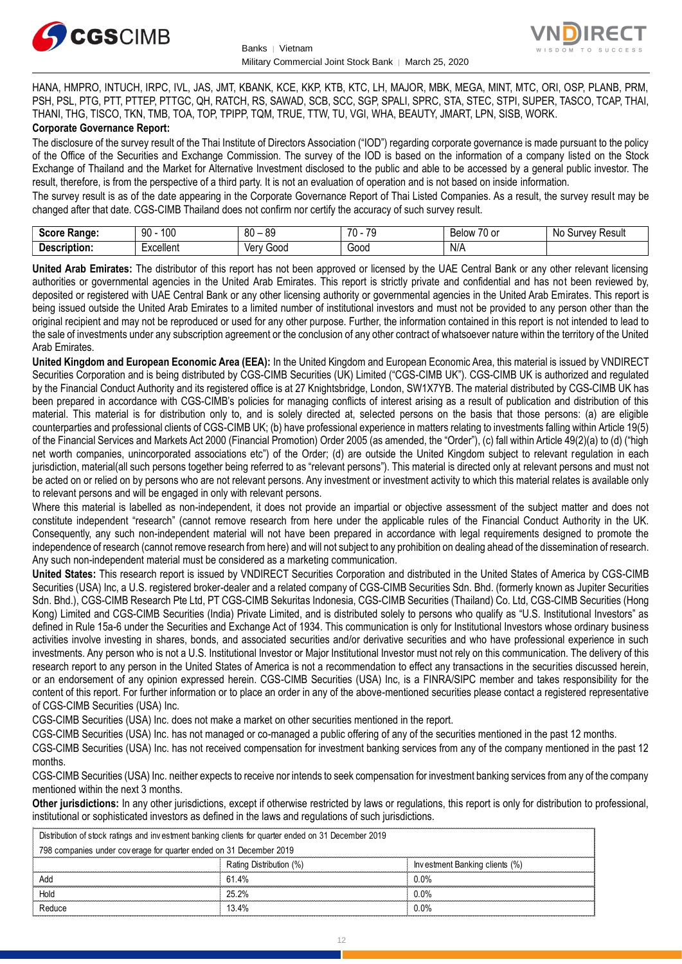



HANA, HMPRO, INTUCH, IRPC, IVL, JAS, JMT, KBANK, KCE, KKP, KTB, KTC, LH, MAJOR, MBK, MEGA, MINT, MTC, ORI, OSP, PLANB, PRM, PSH, PSL, PTG, PTT, PTTEP, PTTGC, QH, RATCH, RS, SAWAD, SCB, SCC, SGP, SPALI, SPRC, STA, STEC, STPI, SUPER, TASCO, TCAP, THAI, THANI, THG, TISCO, TKN, TMB, TOA, TOP, TPIPP, TQM, TRUE, TTW, TU, VGI, WHA, BEAUTY, JMART, LPN, SISB, WORK. **Corporate Governance Report:**

The disclosure of the survey result of the Thai Institute of Directors Association ("IOD") regarding corporate governance is made pursuant to the policy of the Office of the Securities and Exchange Commission. The survey of the IOD is based on the information of a company listed on the Stock Exchange of Thailand and the Market for Alternative Investment disclosed to the public and able to be accessed by a general public investor. The result, therefore, is from the perspective of a third party. It is not an evaluation of operation and is not based on inside information.

The survey result is as of the date appearing in the Corporate Governance Report of Thai Listed Companies. As a result, the survey result may be changed after that date. CGS-CIMB Thailand does not confirm nor certify the accuracy of such survey result.

| <b>Coord</b><br>Range:<br>-5COFF | 100<br>90 | 80<br>0C<br>. .<br>vü | $\overline{\phantom{a}}$<br><b>70</b><br>v | $\sim$ $\sim$<br>Below<br>u or | No<br>Result<br>urve <sup>،</sup> |
|----------------------------------|-----------|-----------------------|--------------------------------------------|--------------------------------|-----------------------------------|
| <b>Descript</b><br>ription:      | xcellent  | Verv .<br>000ز        | Good<br>- - - -                            | N/A                            |                                   |

**United Arab Emirates:** The distributor of this report has not been approved or licensed by the UAE Central Bank or any other relevant licensing authorities or governmental agencies in the United Arab Emirates. This report is strictly private and confidential and has not been reviewed by, deposited or registered with UAE Central Bank or any other licensing authority or governmental agencies in the United Arab Emirates. This report is being issued outside the United Arab Emirates to a limited number of institutional investors and must not be provided to any person other than the original recipient and may not be reproduced or used for any other purpose. Further, the information contained in this report is not intended to lead to the sale of investments under any subscription agreement or the conclusion of any other contract of whatsoever nature within the territory of the United Arab Emirates.

**United Kingdom and European Economic Area (EEA):** In the United Kingdom and European Economic Area, this material is issued by VNDIRECT Securities Corporation and is being distributed by CGS-CIMB Securities (UK) Limited ("CGS-CIMB UK"). CGS-CIMB UK is authorized and regulated by the Financial Conduct Authority and its registered office is at 27 Knightsbridge, London, SW1X7YB. The material distributed by CGS-CIMB UK has been prepared in accordance with CGS-CIMB's policies for managing conflicts of interest arising as a result of publication and distribution of this material. This material is for distribution only to, and is solely directed at, selected persons on the basis that those persons: (a) are eligible counterparties and professional clients of CGS-CIMB UK; (b) have professional experience in matters relating to investments falling within Article 19(5) of the Financial Services and Markets Act 2000 (Financial Promotion) Order 2005 (as amended, the "Order"), (c) fall within Article 49(2)(a) to (d) ("high net worth companies, unincorporated associations etc") of the Order; (d) are outside the United Kingdom subject to relevant regulation in each jurisdiction, material(all such persons together being referred to as "relevant persons"). This material is directed only at relevant persons and must not be acted on or relied on by persons who are not relevant persons. Any investment or investment activity to which this material relates is available only to relevant persons and will be engaged in only with relevant persons.

Where this material is labelled as non-independent, it does not provide an impartial or objective assessment of the subject matter and does not constitute independent "research" (cannot remove research from here under the applicable rules of the Financial Conduct Authority in the UK. Consequently, any such non-independent material will not have been prepared in accordance with legal requirements designed to promote the independence of research (cannot remove research from here) and will not subject to any prohibition on dealing ahead of the dissemination of research. Any such non-independent material must be considered as a marketing communication.

**United States:** This research report is issued by VNDIRECT Securities Corporation and distributed in the United States of America by CGS-CIMB Securities (USA) Inc, a U.S. registered broker-dealer and a related company of CGS-CIMB Securities Sdn. Bhd. (formerly known as Jupiter Securities Sdn. Bhd.), CGS-CIMB Research Pte Ltd, PT CGS-CIMB Sekuritas Indonesia, CGS-CIMB Securities (Thailand) Co. Ltd, CGS-CIMB Securities (Hong Kong) Limited and CGS-CIMB Securities (India) Private Limited, and is distributed solely to persons who qualify as "U.S. Institutional Investors" as defined in Rule 15a-6 under the Securities and Exchange Act of 1934. This communication is only for Institutional Investors whose ordinary business activities involve investing in shares, bonds, and associated securities and/or derivative securities and who have professional experience in such investments. Any person who is not a U.S. Institutional Investor or Major Institutional Investor must not rely on this communication. The delivery of this research report to any person in the United States of America is not a recommendation to effect any transactions in the securities discussed herein, or an endorsement of any opinion expressed herein. CGS-CIMB Securities (USA) Inc, is a FINRA/SIPC member and takes responsibility for the content of this report. For further information or to place an order in any of the above-mentioned securities please contact a registered representative of CGS-CIMB Securities (USA) Inc.

CGS-CIMB Securities (USA) Inc. does not make a market on other securities mentioned in the report.

CGS-CIMB Securities (USA) Inc. has not managed or co-managed a public offering of any of the securities mentioned in the past 12 months.

CGS-CIMB Securities (USA) Inc. has not received compensation for investment banking services from any of the company mentioned in the past 12 months.

CGS-CIMB Securities (USA) Inc. neither expects to receive nor intends to seek compensation for investment banking services from any of the company mentioned within the next 3 months.

**Other jurisdictions:** In any other jurisdictions, except if otherwise restricted by laws or regulations, this report is only for distribution to professional, institutional or sophisticated investors as defined in the laws and regulations of such jurisdictions. entioned within the next 3 months.<br> **ther jurisdictions:** In any other jurisdictions, except if otherwise restricted by laws<br>
stitutional or sophisticated investors as defined in the laws and regulations of such j<br>
Distrib

| <b>Other jurisdictions:</b> In any other jurisdictions, except if otherwise restricted by laws or regulations, this report is only for distribution to<br>institutional or sophisticated investors as defined in the laws and regulations of such jurisdictions. |                         |                                |  |  |
|------------------------------------------------------------------------------------------------------------------------------------------------------------------------------------------------------------------------------------------------------------------|-------------------------|--------------------------------|--|--|
|                                                                                                                                                                                                                                                                  |                         |                                |  |  |
| Distribution of stock ratings and investment banking clients for quarter ended on 31 December 2019                                                                                                                                                               |                         |                                |  |  |
| 798 companies under coverage for quarter ended on 31 December 2019                                                                                                                                                                                               |                         |                                |  |  |
|                                                                                                                                                                                                                                                                  | Rating Distribution (%) | Investment Banking clients (%) |  |  |
| Add                                                                                                                                                                                                                                                              | 61.4%                   | $0.0\%$                        |  |  |
| Hold                                                                                                                                                                                                                                                             | 25.2%                   | $0.0\%$                        |  |  |
| Reduce                                                                                                                                                                                                                                                           | 13.4%                   | 0.0%                           |  |  |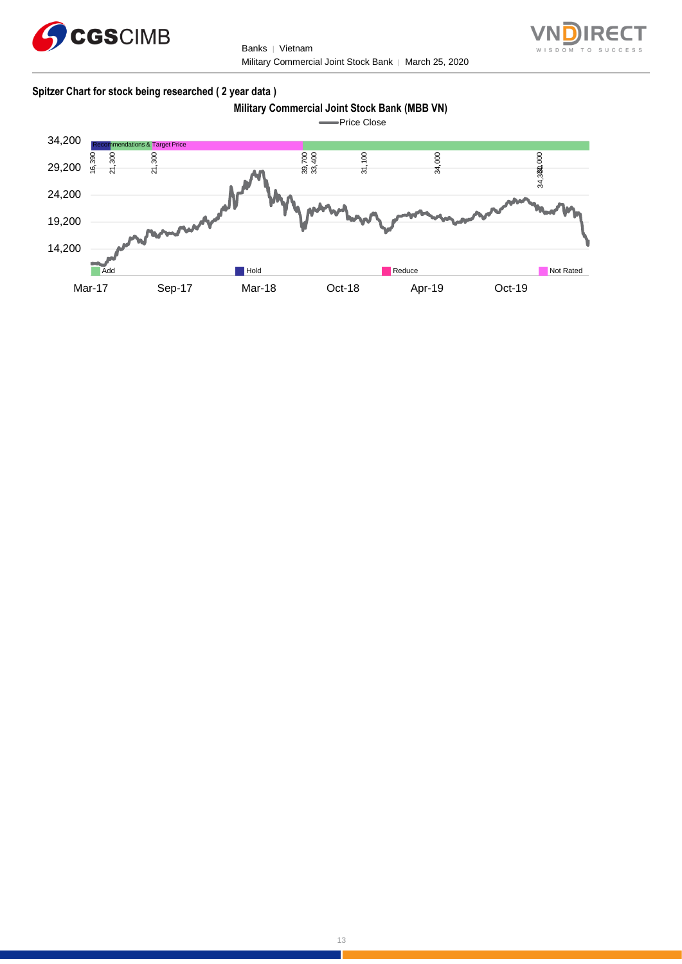

Banks | Vietnam Military Commercial Joint Stock Bank │ March 25, 2020



## **Spitzer Chart for stock being researched ( 2 year data )**

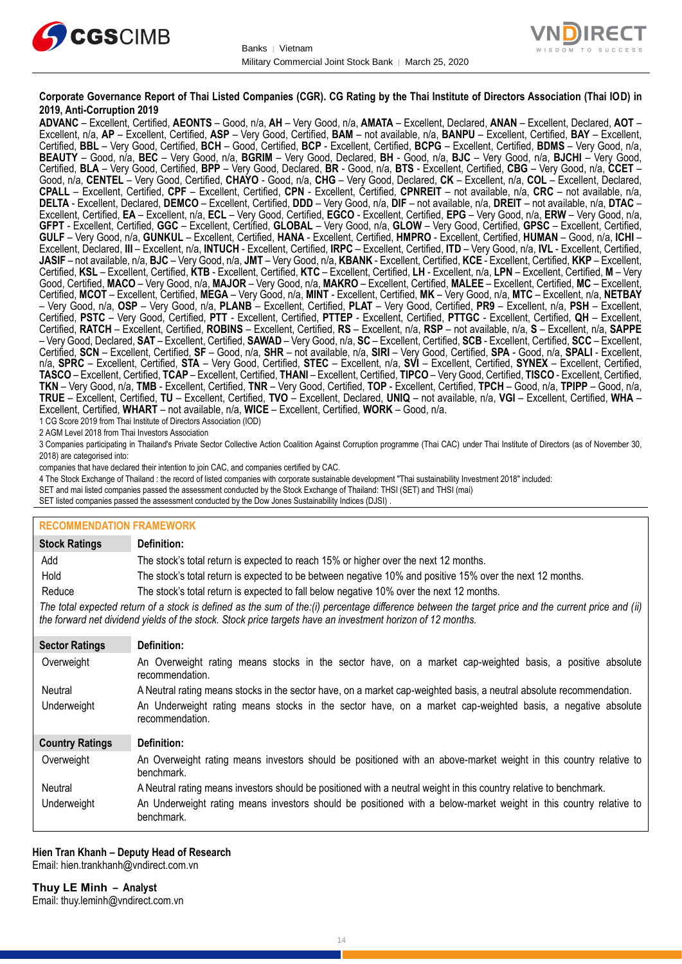



#### **Corporate Governance Report of Thai Listed Companies (CGR). CG Rating by the Thai Institute of Directors Association (Thai IOD) in 2019, Anti-Corruption 2019**

**ADVANC** – Excellent, Certified, **AEONTS** – Good, n/a, **AH** – Very Good, n/a, **AMATA** – Excellent, Declared, **ANAN** – Excellent, Declared, **AOT** – Excellent, n/a, **AP** – Excellent, Certified, **ASP** – Very Good, Certified, **BAM** – not available, n/a, **BANPU** – Excellent, Certified, **BAY** – Excellent, Certified, **BBL** – Very Good, Certified, **BCH** – Good, Certified, **BCP** - Excellent, Certified, **BCPG** – Excellent, Certified, **BDMS** – Very Good, n/a, **BEAUTY** – Good, n/a, **BEC** – Very Good, n/a, **BGRIM** – Very Good, Declared, **BH** - Good, n/a, **BJC** – Very Good, n/a, **BJCHI** – Very Good, Certified, **BLA** – Very Good, Certified, **BPP** – Very Good, Declared, **BR** - Good, n/a, **BTS** - Excellent, Certified, **CBG** – Very Good, n/a, **CCET** – Good, n/a, **CENTEL** – Very Good, Certified, **CHAYO** - Good, n/a, **CHG** – Very Good, Declared, **CK** – Excellent, n/a, **COL** – Excellent, Declared, **CPALL** – Excellent, Certified, **CPF** – Excellent, Certified, **CPN** - Excellent, Certified, **CPNREIT** – not available, n/a, **CRC** – not available, n/a, **DELTA** - Excellent, Declared, **DEMCO** – Excellent, Certified, **DDD** – Very Good, n/a, **DIF** – not available, n/a, **DREIT** – not available, n/a, **DTAC** – Excellent, Certified, **EA** – Excellent, n/a, **ECL** – Very Good, Certified, **EGCO** - Excellent, Certified, **EPG** – Very Good, n/a, **ERW** – Very Good, n/a, **GFPT** - Excellent, Certified, **GGC** – Excellent, Certified, **GLOBAL** – Very Good, n/a, **GLOW** – Very Good, Certified, **GPSC** – Excellent, Certified, **GULF** – Very Good, n/a, **GUNKUL** – Excellent, Certified, **HANA** - Excellent, Certified, **HMPRO** - Excellent, Certified, **HUMAN** – Good, n/a, **ICHI** – Excellent, Declared, **III** – Excellent, n/a, **INTUCH** - Excellent, Certified, **IRPC** – Excellent, Certified, **ITD** – Very Good, n/a, **IVL** - Excellent, Certified, **JASIF** – not available, n/a, **BJC** – Very Good, n/a, **JMT** – Very Good, n/a, **KBANK** - Excellent, Certified, **KCE** - Excellent, Certified, **KKP** – Excellent, Certified, **KSL** – Excellent, Certified, **KTB** - Excellent, Certified, **KTC** – Excellent, Certified, **LH** - Excellent, n/a, **LPN** – Excellent, Certified, **M** – Very Good, Certified, **MACO** – Very Good, n/a, **MAJOR** – Very Good, n/a, **MAKRO** – Excellent, Certified, **MALEE** – Excellent, Certified, **MC** – Excellent, Certified, **MCOT** – Excellent, Certified, **MEGA** – Very Good, n/a, **MINT** - Excellent, Certified, **MK** – Very Good, n/a, **MTC** – Excellent, n/a, **NETBAY** – Very Good, n/a, **OSP** – Very Good, n/a, **PLANB** – Excellent, Certified, **PLAT** – Very Good, Certified, **PR9** – Excellent, n/a, **PSH** – Excellent, Certified, **PSTC** – Very Good, Certified, **PTT** - Excellent, Certified, **PTTEP** - Excellent, Certified, **PTTGC** - Excellent, Certified, **QH** – Excellent, Certified, **RATCH** – Excellent, Certified, **ROBINS** – Excellent, Certified, **RS** – Excellent, n/a, **RSP** – not available, n/a, **S** – Excellent, n/a, **SAPPE** – Very Good, Declared, **SAT** – Excellent, Certified, **SAWAD** – Very Good, n/a, **SC** – Excellent, Certified, **SCB** - Excellent, Certified, **SCC** – Excellent, Certified, **SCN** – Excellent, Certified, **SF** – Good, n/a, **SHR** – not available, n/a, **SIRI** – Very Good, Certified, **SPA** - Good, n/a, **SPALI** - Excellent, n/a, **SPRC** – Excellent, Certified, **STA** – Very Good, Certified, **STEC** – Excellent, n/a, **SVI** – Excellent, Certified, **SYNEX** – Excellent, Certified, **TASCO** – Excellent, Certified, **TCAP** – Excellent, Certified, **THANI** – Excellent, Certified, **TIPCO** – Very Good, Certified, **TISCO** - Excellent, Certified, **TKN** – Very Good, n/a, **TMB** - Excellent, Certified, **TNR** – Very Good, Certified, **TOP** - Excellent, Certified, **TPCH** – Good, n/a, **TPIPP** – Good, n/a, **TRUE** – Excellent, Certified, **TU** – Excellent, Certified, **TVO** – Excellent, Declared, **UNIQ** – not available, n/a, **VGI** – Excellent, Certified, **WHA** – Excellent, Certified, **WHART** – not available, n/a, **WICE** – Excellent, Certified, **WORK** – Good, n/a.

1 CG Score 2019 from Thai Institute of Directors Association (IOD)

2 AGM Level 2018 from Thai Investors Association

3 Companies participating in Thailand's Private Sector Collective Action Coalition Against Corruption programme (Thai CAC) under Thai Institute of Directors (as of November 30, 2018) are categorised into:

companies that have declared their intention to join CAC, and companies certified by CAC.

- 4 [The Stock Exchange of Thailand : the record of listed companies with corporate sustainable development "Thai sustainability Investment 2018" included:](http://www.set.or.th/sustainable_dev/en/sr/sri/tsi_p1.html)
- SET and mai listed companies passed the assessment conducted by the Stock Exchange of Thailand: THSI (SET) and THSI (mai)

SET listed companies passed the assessment conducted by the Dow Jones Sustainability Indices (DJSI)

| <b>RECOMMENDATION FRAMEWORK</b> |                                                                                                                                                                                                                                                                   |
|---------------------------------|-------------------------------------------------------------------------------------------------------------------------------------------------------------------------------------------------------------------------------------------------------------------|
| <b>Stock Ratings</b>            | Definition:                                                                                                                                                                                                                                                       |
| Add                             | The stock's total return is expected to reach 15% or higher over the next 12 months.                                                                                                                                                                              |
| Hold                            | The stock's total return is expected to be between negative 10% and positive 15% over the next 12 months.                                                                                                                                                         |
| Reduce                          | The stock's total return is expected to fall below negative 10% over the next 12 months.                                                                                                                                                                          |
|                                 | The total expected return of a stock is defined as the sum of the:(i) percentage difference between the target price and the current price and (ii)<br>the forward net dividend yields of the stock. Stock price targets have an investment horizon of 12 months. |
| <b>Sector Ratings</b>           | Definition:                                                                                                                                                                                                                                                       |
| Overweight                      | An Overweight rating means stocks in the sector have, on a market cap-weighted basis, a positive absolute<br>recommendation.                                                                                                                                      |
| Neutral                         | A Neutral rating means stocks in the sector have, on a market cap-weighted basis, a neutral absolute recommendation.                                                                                                                                              |
| Underweight                     | An Underweight rating means stocks in the sector have, on a market cap-weighted basis, a negative absolute<br>recommendation.                                                                                                                                     |
| <b>Country Ratings</b>          | Definition:                                                                                                                                                                                                                                                       |
| Overweight                      | An Overweight rating means investors should be positioned with an above-market weight in this country relative to<br>benchmark.                                                                                                                                   |
| Neutral                         | A Neutral rating means investors should be positioned with a neutral weight in this country relative to benchmark.                                                                                                                                                |
| Underweight                     | An Underweight rating means investors should be positioned with a below-market weight in this country relative to<br>benchmark.                                                                                                                                   |

### **Hien Tran Khanh – Deputy Head of Research**

Email: [hien.trankhanh@vndirect.com.vn](mailto:hien.trankhanh@vndirect.com.vn)

**Thuy LE Minh – Analyst** Email: [thuy.leminh@vndirect.com.vn](mailto:thuy.leminh@vndirect.com.vn)